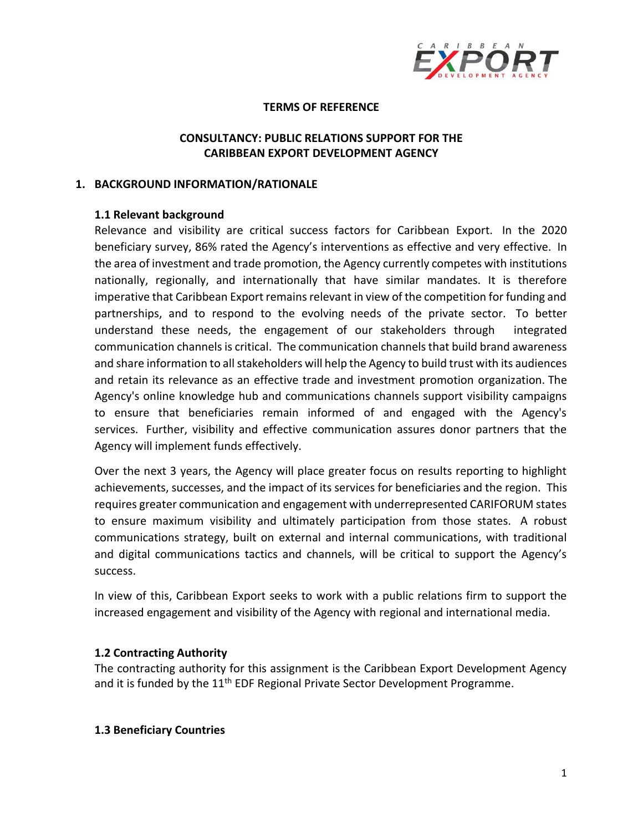

#### **TERMS OF REFERENCE**

### **CONSULTANCY: PUBLIC RELATIONS SUPPORT FOR THE CARIBBEAN EXPORT DEVELOPMENT AGENCY**

#### **1. BACKGROUND INFORMATION/RATIONALE**

#### **1.1 Relevant background**

Relevance and visibility are critical success factors for Caribbean Export. In the 2020 beneficiary survey, 86% rated the Agency's interventions as effective and very effective. In the area of investment and trade promotion, the Agency currently competes with institutions nationally, regionally, and internationally that have similar mandates. It is therefore imperative that Caribbean Export remains relevant in view of the competition for funding and partnerships, and to respond to the evolving needs of the private sector. To better understand these needs, the engagement of our stakeholders through integrated communication channels is critical. The communication channels that build brand awareness and share information to all stakeholders will help the Agency to build trust with its audiences and retain its relevance as an effective trade and investment promotion organization. The Agency's online knowledge hub and communications channels support visibility campaigns to ensure that beneficiaries remain informed of and engaged with the Agency's services. Further, visibility and effective communication assures donor partners that the Agency will implement funds effectively.

Over the next 3 years, the Agency will place greater focus on results reporting to highlight achievements, successes, and the impact of its services for beneficiaries and the region. This requires greater communication and engagement with underrepresented CARIFORUM states to ensure maximum visibility and ultimately participation from those states. A robust communications strategy, built on external and internal communications, with traditional and digital communications tactics and channels, will be critical to support the Agency's success.

In view of this, Caribbean Export seeks to work with a public relations firm to support the increased engagement and visibility of the Agency with regional and international media.

### **1.2 Contracting Authority**

The contracting authority for this assignment is the Caribbean Export Development Agency and it is funded by the  $11<sup>th</sup>$  EDF Regional Private Sector Development Programme.

#### **1.3 Beneficiary Countries**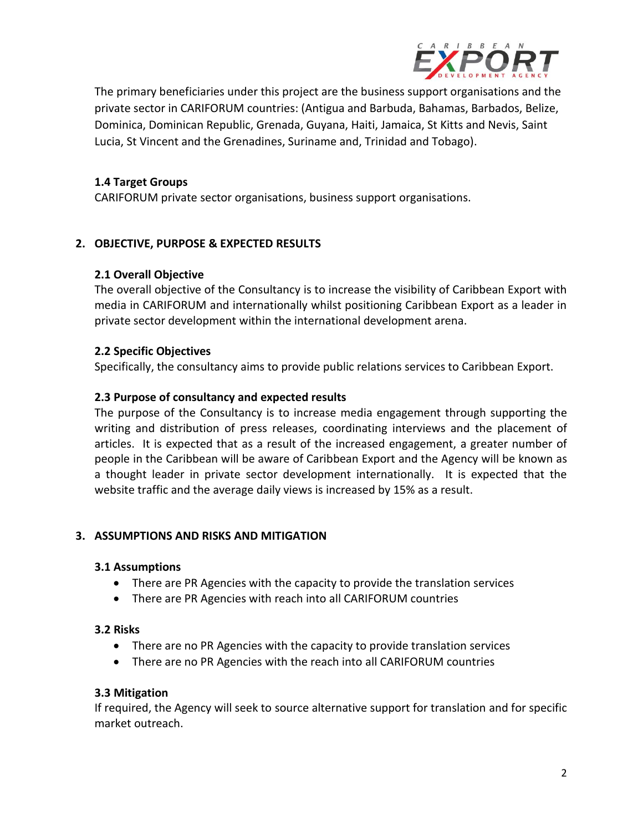

The primary beneficiaries under this project are the business support organisations and the private sector in CARIFORUM countries: (Antigua and Barbuda, Bahamas, Barbados, Belize, Dominica, Dominican Republic, Grenada, Guyana, Haiti, Jamaica, St Kitts and Nevis, Saint Lucia, St Vincent and the Grenadines, Suriname and, Trinidad and Tobago).

### **1.4 Target Groups**

CARIFORUM private sector organisations, business support organisations.

### **2. OBJECTIVE, PURPOSE & EXPECTED RESULTS**

#### **2.1 Overall Objective**

The overall objective of the Consultancy is to increase the visibility of Caribbean Export with media in CARIFORUM and internationally whilst positioning Caribbean Export as a leader in private sector development within the international development arena.

#### **2.2 Specific Objectives**

Specifically, the consultancy aims to provide public relations services to Caribbean Export.

#### **2.3 Purpose of consultancy and expected results**

The purpose of the Consultancy is to increase media engagement through supporting the writing and distribution of press releases, coordinating interviews and the placement of articles. It is expected that as a result of the increased engagement, a greater number of people in the Caribbean will be aware of Caribbean Export and the Agency will be known as a thought leader in private sector development internationally. It is expected that the website traffic and the average daily views is increased by 15% as a result.

### **3. ASSUMPTIONS AND RISKS AND MITIGATION**

#### **3.1 Assumptions**

- There are PR Agencies with the capacity to provide the translation services
- There are PR Agencies with reach into all CARIFORUM countries

#### **3.2 Risks**

- There are no PR Agencies with the capacity to provide translation services
- There are no PR Agencies with the reach into all CARIFORUM countries

#### **3.3 Mitigation**

If required, the Agency will seek to source alternative support for translation and for specific market outreach.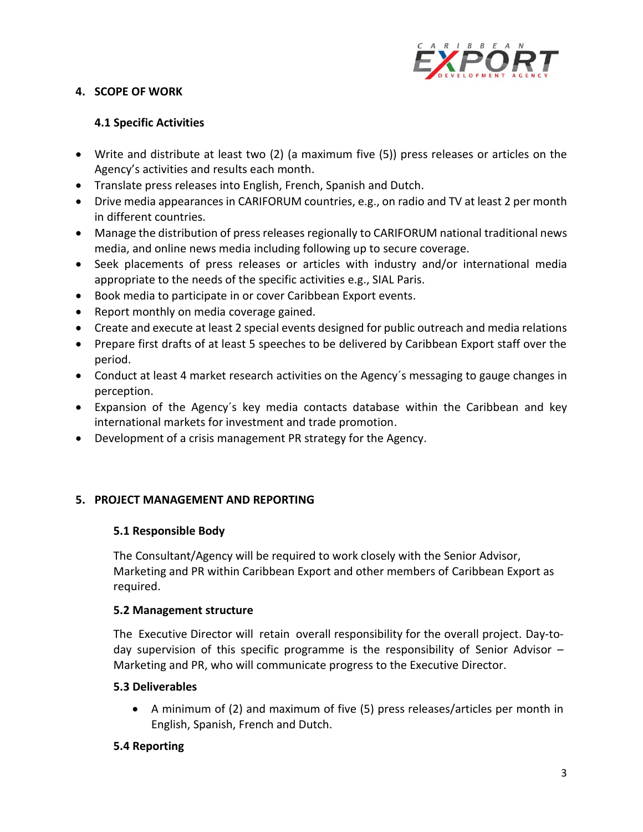

## **4. SCOPE OF WORK**

## **4.1 Specific Activities**

- Write and distribute at least two (2) (a maximum five (5)) press releases or articles on the Agency's activities and results each month.
- Translate press releases into English, French, Spanish and Dutch.
- Drive media appearances in CARIFORUM countries, e.g., on radio and TV at least 2 per month in different countries.
- Manage the distribution of press releases regionally to CARIFORUM national traditional news media, and online news media including following up to secure coverage.
- Seek placements of press releases or articles with industry and/or international media appropriate to the needs of the specific activities e.g., SIAL Paris.
- Book media to participate in or cover Caribbean Export events.
- Report monthly on media coverage gained.
- Create and execute at least 2 special events designed for public outreach and media relations
- Prepare first drafts of at least 5 speeches to be delivered by Caribbean Export staff over the period.
- Conduct at least 4 market research activities on the Agency´s messaging to gauge changes in perception.
- Expansion of the Agency´s key media contacts database within the Caribbean and key international markets for investment and trade promotion.
- Development of a crisis management PR strategy for the Agency.

### **5. PROJECT MANAGEMENT AND REPORTING**

### **5.1 Responsible Body**

The Consultant/Agency will be required to work closely with the Senior Advisor, Marketing and PR within Caribbean Export and other members of Caribbean Export as required.

### **5.2 Management structure**

The Executive Director will retain overall responsibility for the overall project. Day-today supervision of this specific programme is the responsibility of Senior Advisor – Marketing and PR, who will communicate progress to the Executive Director.

### **5.3 Deliverables**

• A minimum of (2) and maximum of five (5) press releases/articles per month in English, Spanish, French and Dutch.

### **5.4 Reporting**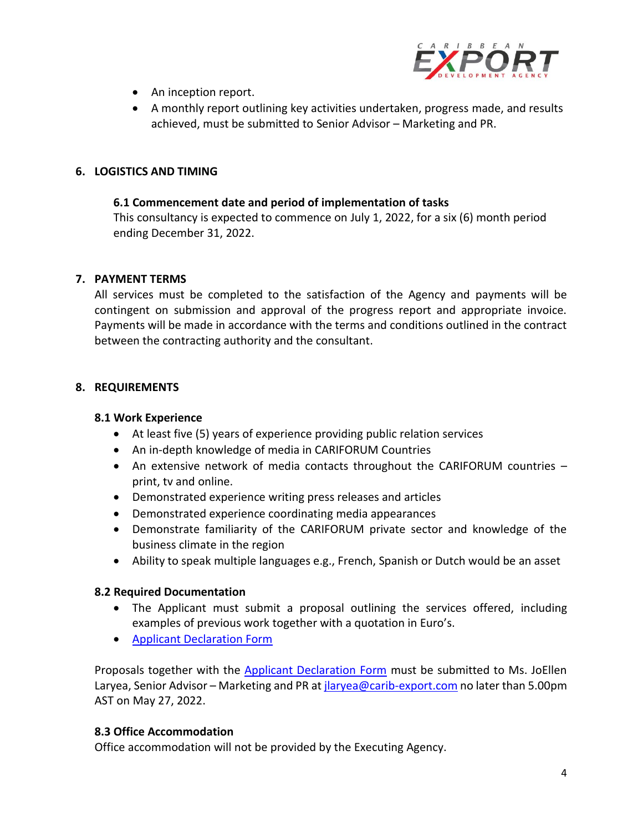

- An inception report.
- A monthly report outlining key activities undertaken, progress made, and results achieved, must be submitted to Senior Advisor – Marketing and PR.

## **6. LOGISTICS AND TIMING**

### **6.1 Commencement date and period of implementation of tasks**

This consultancy is expected to commence on July 1, 2022, for a six (6) month period ending December 31, 2022.

### **7. PAYMENT TERMS**

All services must be completed to the satisfaction of the Agency and payments will be contingent on submission and approval of the progress report and appropriate invoice. Payments will be made in accordance with the terms and conditions outlined in the contract between the contracting authority and the consultant.

### **8. REQUIREMENTS**

#### **8.1 Work Experience**

- At least five (5) years of experience providing public relation services
- An in-depth knowledge of media in CARIFORUM Countries
- An extensive network of media contacts throughout the CARIFORUM countries print, tv and online.
- Demonstrated experience writing press releases and articles
- Demonstrated experience coordinating media appearances
- Demonstrate familiarity of the CARIFORUM private sector and knowledge of the business climate in the region
- Ability to speak multiple languages e.g., French, Spanish or Dutch would be an asset

### **8.2 Required Documentation**

- The Applicant must submit a proposal outlining the services offered, including examples of previous work together with a quotation in Euro's.
- [Applicant Declaration Form](https://www.carib-export.com/download/197007/)

Proposals together with the **Applicant Declaration Form** must be submitted to Ms. JoEllen Laryea, Senior Advisor – Marketing and PR at *jlaryea@carib-export.com* no later than 5.00pm AST on May 27, 2022.

### **8.3 Office Accommodation**

Office accommodation will not be provided by the Executing Agency.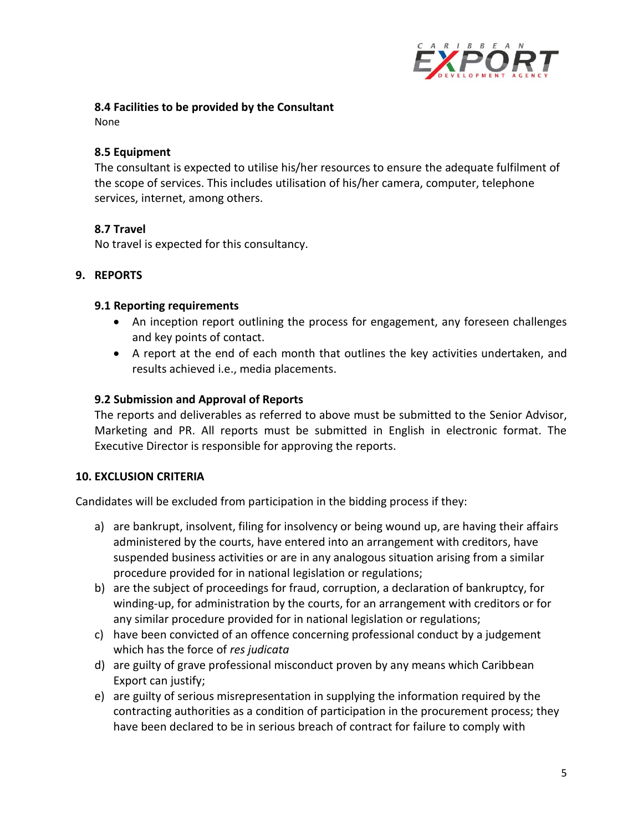

### **8.4 Facilities to be provided by the Consultant**

None

## **8.5 Equipment**

The consultant is expected to utilise his/her resources to ensure the adequate fulfilment of the scope of services. This includes utilisation of his/her camera, computer, telephone services, internet, among others.

## **8.7 Travel**

No travel is expected for this consultancy.

## **9. REPORTS**

### **9.1 Reporting requirements**

- An inception report outlining the process for engagement, any foreseen challenges and key points of contact.
- A report at the end of each month that outlines the key activities undertaken, and results achieved i.e., media placements.

## **9.2 Submission and Approval of Reports**

The reports and deliverables as referred to above must be submitted to the Senior Advisor, Marketing and PR. All reports must be submitted in English in electronic format. The Executive Director is responsible for approving the reports.

# **10. EXCLUSION CRITERIA**

Candidates will be excluded from participation in the bidding process if they:

- a) are bankrupt, insolvent, filing for insolvency or being wound up, are having their affairs administered by the courts, have entered into an arrangement with creditors, have suspended business activities or are in any analogous situation arising from a similar procedure provided for in national legislation or regulations;
- b) are the subject of proceedings for fraud, corruption, a declaration of bankruptcy, for winding-up, for administration by the courts, for an arrangement with creditors or for any similar procedure provided for in national legislation or regulations;
- c) have been convicted of an offence concerning professional conduct by a judgement which has the force of *res judicata*
- d) are guilty of grave professional misconduct proven by any means which Caribbean Export can justify;
- e) are guilty of serious misrepresentation in supplying the information required by the contracting authorities as a condition of participation in the procurement process; they have been declared to be in serious breach of contract for failure to comply with